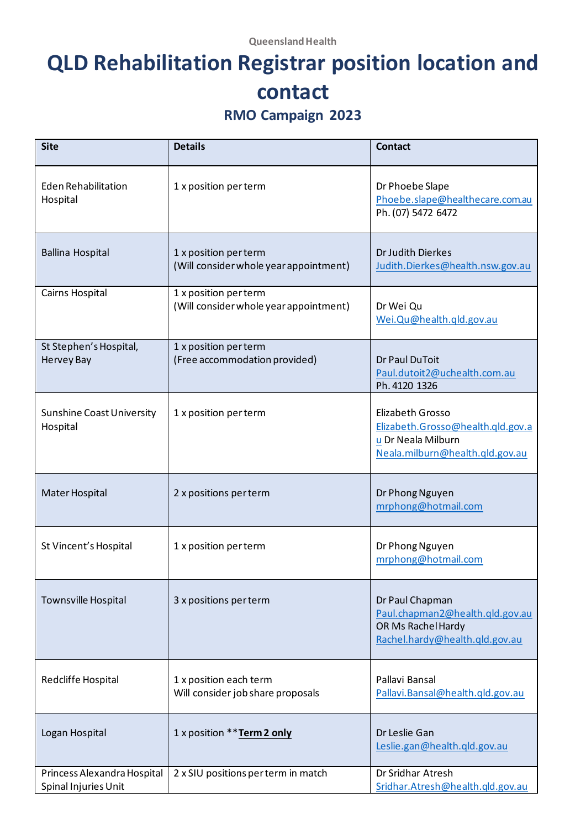# **QLD Rehabilitation Registrar position location and contact**

#### **RMO Campaign 2023**

| <b>Site</b>                                         | <b>Details</b>                                                  | <b>Contact</b>                                                                                                 |
|-----------------------------------------------------|-----------------------------------------------------------------|----------------------------------------------------------------------------------------------------------------|
| <b>Eden Rehabilitation</b><br>Hospital              | 1 x position per term                                           | Dr Phoebe Slape<br>Phoebe.slape@healthecare.com.au<br>Ph. (07) 5472 6472                                       |
| <b>Ballina Hospital</b>                             | 1 x position per term<br>(Will consider whole year appointment) | Dr Judith Dierkes<br>Judith.Dierkes@health.nsw.gov.au                                                          |
| Cairns Hospital                                     | 1 x position per term<br>(Will consider whole year appointment) | Dr Wei Qu<br>Wei.Qu@health.qld.gov.au                                                                          |
| St Stephen's Hospital,<br><b>Hervey Bay</b>         | 1 x position per term<br>(Free accommodation provided)          | Dr Paul DuToit<br>Paul.dutoit2@uchealth.com.au<br>Ph. 4120 1326                                                |
| <b>Sunshine Coast University</b><br>Hospital        | 1 x position per term                                           | Elizabeth Grosso<br>Elizabeth.Grosso@health.qld.gov.a<br>u Dr Neala Milburn<br>Neala.milburn@health.qld.gov.au |
| Mater Hospital                                      | 2 x positions per term                                          | Dr Phong Nguyen<br>mrphong@hotmail.com                                                                         |
| St Vincent's Hospital                               | 1 x position per term                                           | Dr Phong Nguyen<br>mrphong@hotmail.com                                                                         |
| Townsville Hospital                                 | 3 x positions per term                                          | Dr Paul Chapman<br>Paul.chapman2@health.qld.gov.au<br>OR Ms Rachel Hardy<br>Rachel.hardy@health.qld.gov.au     |
| Redcliffe Hospital                                  | 1 x position each term<br>Will consider job share proposals     | Pallavi Bansal<br>Pallavi.Bansal@health.qld.gov.au                                                             |
| Logan Hospital                                      | 1 x position ** Term 2 only                                     | Dr Leslie Gan<br>Leslie.gan@health.qld.gov.au                                                                  |
| Princess Alexandra Hospital<br>Spinal Injuries Unit | 2 x SIU positions per term in match                             | Dr Sridhar Atresh<br>Sridhar.Atresh@health.qld.gov.au                                                          |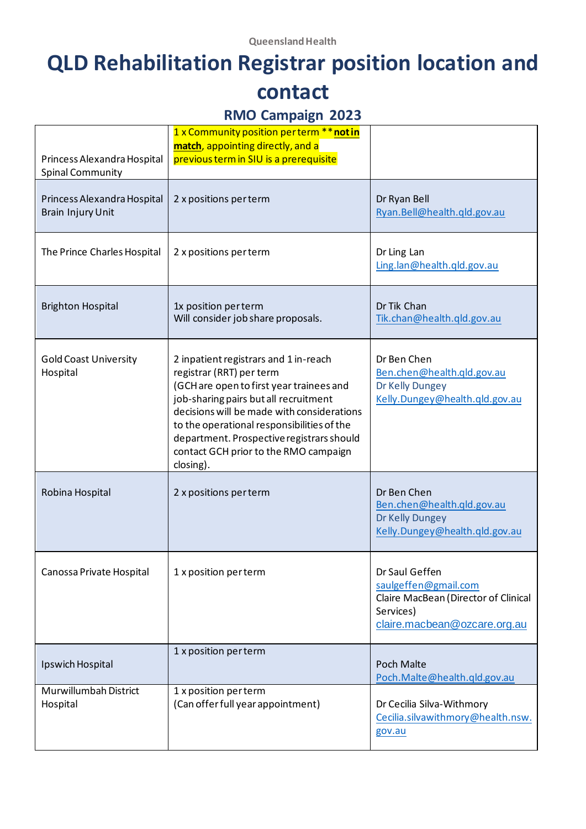#### **QLD Rehabilitation Registrar position location and contact**

#### **RMO Campaign 2023**

| Princess Alexandra Hospital<br><b>Spinal Community</b>  | 1 x Community position perterm ** not in<br>match, appointing directly, and a<br>previous term in SIU is a prerequisite                                                                                                                                                                                                                               |                                                                                                                             |
|---------------------------------------------------------|-------------------------------------------------------------------------------------------------------------------------------------------------------------------------------------------------------------------------------------------------------------------------------------------------------------------------------------------------------|-----------------------------------------------------------------------------------------------------------------------------|
| Princess Alexandra Hospital<br><b>Brain Injury Unit</b> | 2 x positions per term                                                                                                                                                                                                                                                                                                                                | Dr Ryan Bell<br>Ryan.Bell@health.qld.gov.au                                                                                 |
| The Prince Charles Hospital                             | 2 x positions per term                                                                                                                                                                                                                                                                                                                                | Dr Ling Lan<br>Ling.lan@health.qld.gov.au                                                                                   |
| <b>Brighton Hospital</b>                                | 1x position per term<br>Will consider job share proposals.                                                                                                                                                                                                                                                                                            | Dr Tik Chan<br>Tik.chan@health.qld.gov.au                                                                                   |
| <b>Gold Coast University</b><br>Hospital                | 2 inpatient registrars and 1 in-reach<br>registrar (RRT) per term<br>(GCH are open to first year trainees and<br>job-sharing pairs but all recruitment<br>decisions will be made with considerations<br>to the operational responsibilities of the<br>department. Prospective registrars should<br>contact GCH prior to the RMO campaign<br>closing). | Dr Ben Chen<br>Ben.chen@health.qld.gov.au<br>Dr Kelly Dungey<br>Kelly. Dungey@health.qld.gov.au                             |
| Robina Hospital                                         | 2 x positions per term                                                                                                                                                                                                                                                                                                                                | Dr Ben Chen<br>Ben.chen@health.qld.gov.au<br>Dr Kelly Dungey<br>Kelly.Dungey@health.qld.gov.au                              |
| Canossa Private Hospital                                | 1 x position per term                                                                                                                                                                                                                                                                                                                                 | Dr Saul Geffen<br>saulgeffen@gmail.com<br>Claire MacBean (Director of Clinical<br>Services)<br>claire.macbean@ozcare.org.au |
| Ipswich Hospital                                        | 1 x position per term                                                                                                                                                                                                                                                                                                                                 | <b>Poch Malte</b><br>Poch.Malte@health.qld.gov.au                                                                           |
| Murwillumbah District<br>Hospital                       | 1 x position per term<br>(Can offer full year appointment)                                                                                                                                                                                                                                                                                            | Dr Cecilia Silva-Withmory<br>Cecilia.silvawithmory@health.nsw.<br>gov.au                                                    |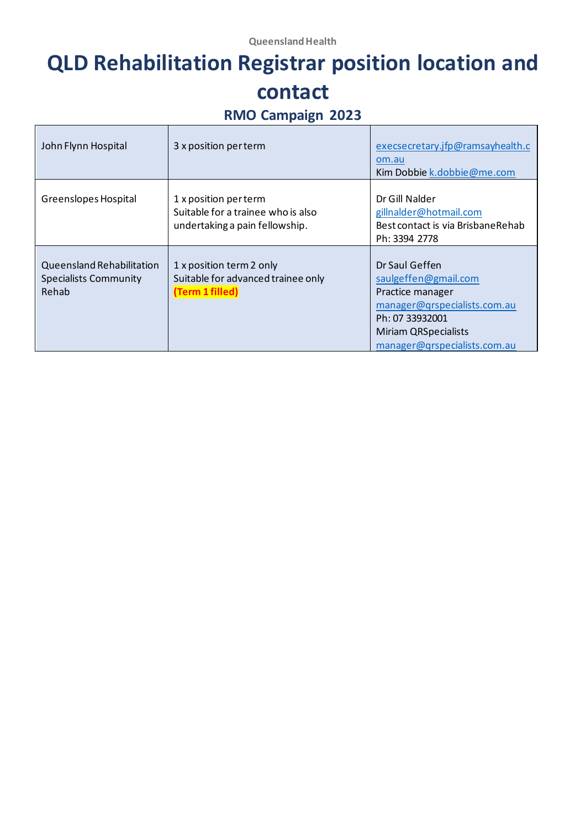## **QLD Rehabilitation Registrar position location and contact**

## **RMO Campaign 2023**

| John Flynn Hospital                                                | 3 x position per term                                                                         | execsecretary.jfp@ramsayhealth.c<br>om.au<br>Kim Dobbie k.dobbie@me.com                                                                                                      |
|--------------------------------------------------------------------|-----------------------------------------------------------------------------------------------|------------------------------------------------------------------------------------------------------------------------------------------------------------------------------|
| Greenslopes Hospital                                               | 1 x position per term<br>Suitable for a trainee who is also<br>undertaking a pain fellowship. | Dr Gill Nalder<br>gillnalder@hotmail.com<br>Best contact is via Brisbane Rehab<br>Ph: 3394 2778                                                                              |
| Queensland Rehabilitation<br><b>Specialists Community</b><br>Rehab | 1 x position term 2 only<br>Suitable for advanced trainee only<br>(Term 1 filled)             | Dr Saul Geffen<br>saulgeffen@gmail.com<br>Practice manager<br>manager@qrspecialists.com.au<br>Ph: 07 33932001<br><b>Miriam QRSpecialists</b><br>manager@qrspecialists.com.au |